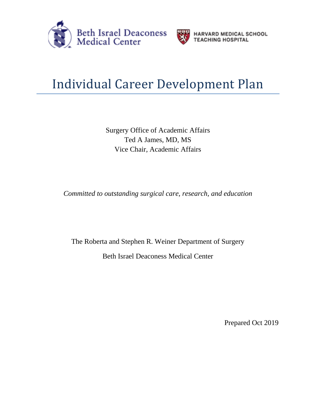



**HARVARD MEDICAL SCHOOL<br>TEACHING HOSPITAL** 

## Individual Career Development Plan

Surgery Office of Academic Affairs Ted A James, MD, MS Vice Chair, Academic Affairs

*Committed to outstanding surgical care, research, and education*

The Roberta and Stephen R. Weiner Department of Surgery

Beth Israel Deaconess Medical Center

Prepared Oct 2019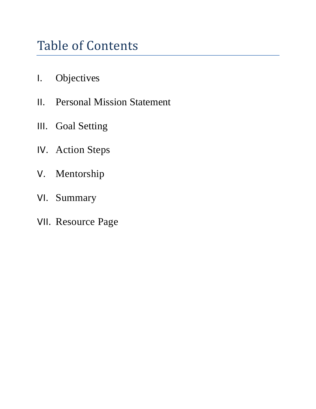## Table of Contents

- I. Objectives
- II. Personal Mission Statement
- III. Goal Setting
- IV. Action Steps
- V. Mentorship
- VI. Summary
- VII. Resource Page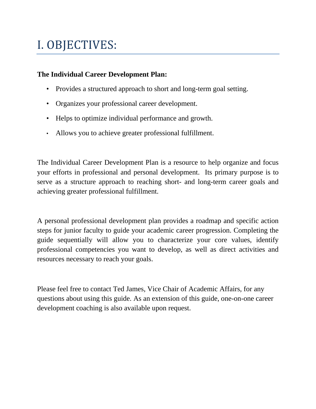### I. OBJECTIVES:

#### **The Individual Career Development Plan:**

- Provides a structured approach to short and long-term goal setting.
- Organizes your professional career development.
- Helps to optimize individual performance and growth.
- Allows you to achieve greater professional fulfillment.

The Individual Career Development Plan is a resource to help organize and focus your efforts in professional and personal development. Its primary purpose is to serve as a structure approach to reaching short- and long-term career goals and achieving greater professional fulfillment.

A personal professional development plan provides a roadmap and specific action steps for junior faculty to guide your academic career progression. Completing the guide sequentially will allow you to characterize your core values, identify professional competencies you want to develop, as well as direct activities and resources necessary to reach your goals.

Please feel free to contact Ted James, Vice Chair of Academic Affairs, for any questions about using this guide. As an extension of this guide, one-on-one career development coaching is also available upon request.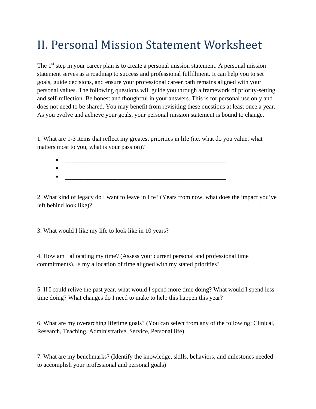### II. Personal Mission Statement Worksheet

The 1<sup>st</sup> step in your career plan is to create a personal mission statement. A personal mission statement serves as a roadmap to success and professional fulfillment. It can help you to set goals, guide decisions, and ensure your professional career path remains aligned with your personal values. The following questions will guide you through a framework of priority-setting and self-reflection. Be honest and thoughtful in your answers. This is for personal use only and does not need to be shared. You may benefit from revisiting these questions at least once a year. As you evolve and achieve your goals, your personal mission statement is bound to change.

1. What are 1-3 items that reflect my greatest priorities in life (i.e. what do you value, what matters most to you, what is your passion)?

 \_\_\_\_\_\_\_\_\_\_\_\_\_\_\_\_\_\_\_\_\_\_\_\_\_\_\_\_\_\_\_\_\_\_\_\_\_\_\_\_\_\_\_\_\_\_\_\_\_\_\_\_ \_\_\_\_\_\_\_\_\_\_\_\_\_\_\_\_\_\_\_\_\_\_\_\_\_\_\_\_\_\_\_\_\_\_\_\_\_\_\_\_\_\_\_\_\_\_\_\_\_\_\_\_ \_\_\_\_\_\_\_\_\_\_\_\_\_\_\_\_\_\_\_\_\_\_\_\_\_\_\_\_\_\_\_\_\_\_\_\_\_\_\_\_\_\_\_\_\_\_\_\_\_\_\_\_

2. What kind of legacy do I want to leave in life? (Years from now, what does the impact you've left behind look like)?

3. What would I like my life to look like in 10 years?

4. How am I allocating my time? (Assess your current personal and professional time commitments). Is my allocation of time aligned with my stated priorities?

5. If I could relive the past year, what would I spend more time doing? What would I spend less time doing? What changes do I need to make to help this happen this year?

6. What are my overarching lifetime goals? (You can select from any of the following: Clinical, Research, Teaching, Administrative, Service, Personal life).

7. What are my benchmarks? (Identify the knowledge, skills, behaviors, and milestones needed to accomplish your professional and personal goals)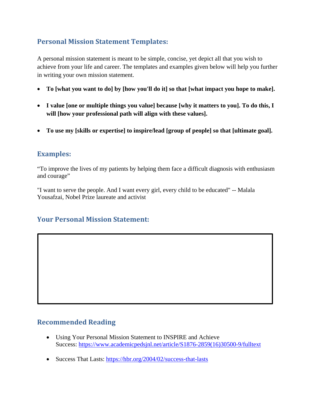#### **Personal Mission Statement Templates:**

A personal mission statement is meant to be simple, concise, yet depict all that you wish to achieve from your life and career. The templates and examples given below will help you further in writing your own mission statement.

- **To [what you want to do] by [how you'll do it] so that [what impact you hope to make].**
- **I value [one or multiple things you value] because [why it matters to you]. To do this, I will [how your professional path will align with these values].**
- **To use my [skills or expertise] to inspire/lead [group of people] so that [ultimate goal].**

#### **Examples:**

"To improve the lives of my patients by helping them face a difficult diagnosis with enthusiasm and courage"

"I want to serve the people. And I want every girl, every child to be educated" -- Malala Yousafzai, Nobel Prize laureate and activist

#### **Your Personal Mission Statement:**

#### **Recommended Reading**

- Using Your Personal Mission Statement to INSPIRE and Achieve Success: [https://www.academicpedsjnl.net/article/S1876-2859\(16\)30500-9/fulltext](https://www.academicpedsjnl.net/article/S1876-2859(16)30500-9/fulltext)
- Success That Lasts:<https://hbr.org/2004/02/success-that-lasts>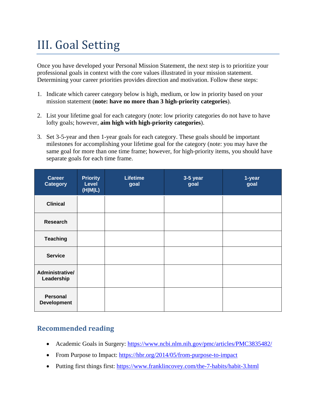### III. Goal Setting

Once you have developed your Personal Mission Statement, the next step is to prioritize your professional goals in context with the core values illustrated in your mission statement. Determining your career priorities provides direction and motivation. Follow these steps:

- 1. Indicate which career category below is high, medium, or low in priority based on your mission statement (**note: have no more than 3 high-priority categories**).
- 2. List your lifetime goal for each category (note: low priority categories do not have to have lofty goals; however, **aim high with high-priority categories**).
- 3. Set 3-5-year and then 1-year goals for each category. These goals should be important milestones for accomplishing your lifetime goal for the category (note: you may have the same goal for more than one time frame; however, for high-priority items, you should have separate goals for each time frame.

| <b>Career</b><br><b>Category</b>      | <b>Priority</b><br><b>Level</b><br>(H M L) | <b>Lifetime</b><br>goal | 3-5 year<br>goal | 1-year<br>goal |
|---------------------------------------|--------------------------------------------|-------------------------|------------------|----------------|
| <b>Clinical</b>                       |                                            |                         |                  |                |
| <b>Research</b>                       |                                            |                         |                  |                |
| <b>Teaching</b>                       |                                            |                         |                  |                |
| <b>Service</b>                        |                                            |                         |                  |                |
| Administrative/<br>Leadership         |                                            |                         |                  |                |
| <b>Personal</b><br><b>Development</b> |                                            |                         |                  |                |

#### **Recommended reading**

- Academic Goals in Surgery:<https://www.ncbi.nlm.nih.gov/pmc/articles/PMC3835482/>
- From Purpose to Impact:<https://hbr.org/2014/05/from-purpose-to-impact>
- Putting first things first:<https://www.franklincovey.com/the-7-habits/habit-3.html>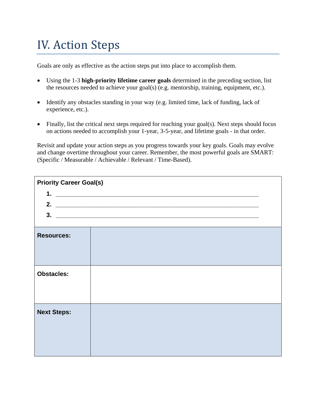### IV. Action Steps

Goals are only as effective as the action steps put into place to accomplish them.

- Using the 1-3 **high-priority lifetime career goals** determined in the preceding section, list the resources needed to achieve your goal(s) (e.g. mentorship, training, equipment, etc.).
- Identify any obstacles standing in your way (e.g. limited time, lack of funding, lack of experience, etc.).
- Finally, list the critical next steps required for reaching your goal(s). Next steps should focus on actions needed to accomplish your 1-year, 3-5-year, and lifetime goals - in that order.

Revisit and update your action steps as you progress towards your key goals. Goals may evolve and change overtime throughout your career. Remember, the most powerful goals are SMART: (Specific / Measurable / Achievable / Relevant / Time-Based).

| <b>Priority Career Goal(s)</b> |                                                                                                                      |  |
|--------------------------------|----------------------------------------------------------------------------------------------------------------------|--|
| 1.                             |                                                                                                                      |  |
|                                | 2. $\overline{\phantom{a}}$                                                                                          |  |
| 3.                             | <u> 2000 - 2000 - 2000 - 2000 - 2000 - 2000 - 2000 - 2000 - 2000 - 2000 - 2000 - 2000 - 2000 - 2000 - 2000 - 200</u> |  |
|                                |                                                                                                                      |  |
| <b>Resources:</b>              |                                                                                                                      |  |
|                                |                                                                                                                      |  |
|                                |                                                                                                                      |  |
| <b>Obstacles:</b>              |                                                                                                                      |  |
|                                |                                                                                                                      |  |
|                                |                                                                                                                      |  |
|                                |                                                                                                                      |  |
| <b>Next Steps:</b>             |                                                                                                                      |  |
|                                |                                                                                                                      |  |
|                                |                                                                                                                      |  |
|                                |                                                                                                                      |  |
|                                |                                                                                                                      |  |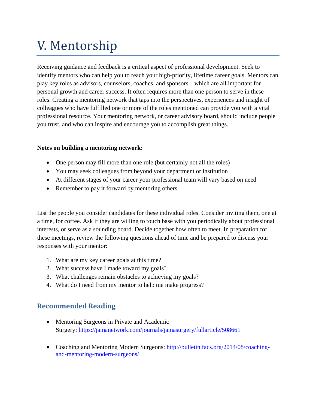# V. Mentorship

Receiving guidance and feedback is a critical aspect of professional development. Seek to identify mentors who can help you to reach your high-priority, lifetime career goals. Mentors can play key roles as advisors, counselors, coaches, and sponsors – which are all important for personal growth and career success. It often requires more than one person to serve in these roles. Creating a mentoring network that taps into the perspectives, experiences and insight of colleagues who have fulfilled one or more of the roles mentioned can provide you with a vital professional resource. Your mentoring network, or career advisory board, should include people you trust, and who can inspire and encourage you to accomplish great things.

#### **Notes on building a mentoring network:**

- One person may fill more than one role (but certainly not all the roles)
- You may seek colleagues from beyond your department or institution
- At different stages of your career your professional team will vary based on need
- Remember to pay it forward by mentoring others

List the people you consider candidates for these individual roles. Consider inviting them, one at a time, for coffee. Ask if they are willing to touch base with you periodically about professional interests, or serve as a sounding board. Decide together how often to meet. In preparation for these meetings, review the following questions ahead of time and be prepared to discuss your responses with your mentor:

- 1. What are my key career goals at this time?
- 2. What success have I made toward my goals?
- 3. What challenges remain obstacles to achieving my goals?
- 4. What do I need from my mentor to help me make progress?

#### **Recommended Reading**

- Mentoring Surgeons in Private and Academic Surgery:<https://jamanetwork.com/journals/jamasurgery/fullarticle/508661>
- Coaching and Mentoring Modern Surgeons: [http://bulletin.facs.org/2014/08/coaching](http://bulletin.facs.org/2014/08/coaching-and-mentoring-modern-surgeons/)[and-mentoring-modern-surgeons/](http://bulletin.facs.org/2014/08/coaching-and-mentoring-modern-surgeons/)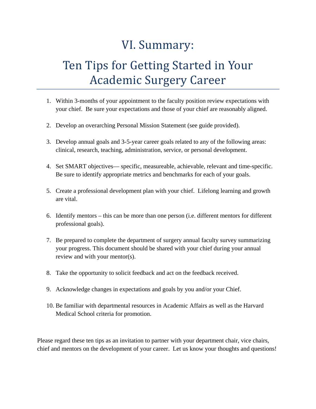### VI. Summary:

### Ten Tips for Getting Started in Your Academic Surgery Career

- 1. Within 3-months of your appointment to the faculty position review expectations with your chief. Be sure your expectations and those of your chief are reasonably aligned.
- 2. Develop an overarching Personal Mission Statement (see guide provided).
- 3. Develop annual goals and 3-5-year career goals related to any of the following areas: clinical, research, teaching, administration, service, or personal development.
- 4. Set SMART objectives— specific, measureable, achievable, relevant and time-specific. Be sure to identify appropriate metrics and benchmarks for each of your goals.
- 5. Create a professional development plan with your chief. Lifelong learning and growth are vital.
- 6. Identify mentors this can be more than one person (i.e. different mentors for different professional goals).
- 7. Be prepared to complete the department of surgery annual faculty survey summarizing your progress. This document should be shared with your chief during your annual review and with your mentor(s).
- 8. Take the opportunity to solicit feedback and act on the feedback received.
- 9. Acknowledge changes in expectations and goals by you and/or your Chief.
- 10. Be familiar with departmental resources in Academic Affairs as well as the Harvard Medical School criteria for promotion.

Please regard these ten tips as an invitation to partner with your department chair, vice chairs, chief and mentors on the development of your career. Let us know your thoughts and questions!